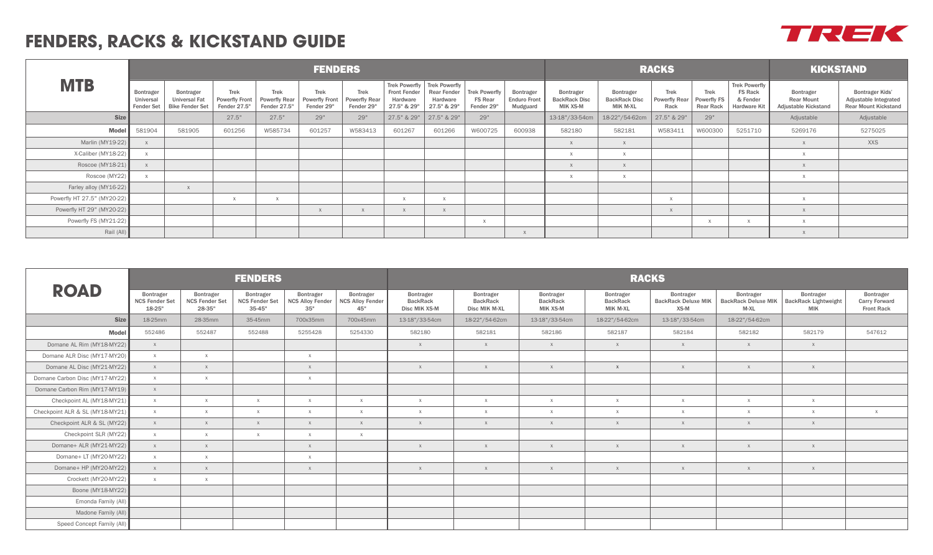## **FENDERS, RACKS & KICKSTAND GUIDE**

|                             |                                             |                                                                    |                                                      |                                                     | <b>FENDERS</b>                                     |                                                   |                                                |                                                                                | <b>RACKS</b>                                         | <b>KICKSTAND</b>                             |                                               |                                                             |                                      |                                         |                                                                    |                                                                      |                                                                                |
|-----------------------------|---------------------------------------------|--------------------------------------------------------------------|------------------------------------------------------|-----------------------------------------------------|----------------------------------------------------|---------------------------------------------------|------------------------------------------------|--------------------------------------------------------------------------------|------------------------------------------------------|----------------------------------------------|-----------------------------------------------|-------------------------------------------------------------|--------------------------------------|-----------------------------------------|--------------------------------------------------------------------|----------------------------------------------------------------------|--------------------------------------------------------------------------------|
| <b>MTB</b>                  | Bontrager<br>Universal<br><b>Fender Set</b> | <b>Bontrager</b><br><b>Universal Fat</b><br><b>Bike Fender Set</b> | <b>Trek</b><br><b>Powerfly Front</b><br>Fender 27.5" | <b>Trek</b><br><b>Powerfly Rear</b><br>Fender 27.5" | <b>Trek</b><br><b>Powerfly Front</b><br>Fender 29" | <b>Trek</b><br><b>Powerfly Rear</b><br>Fender 29" | <b>Front Fender</b><br>Hardware<br>27.5" & 29" | Trek Powerfly   Trek Powerfly<br><b>Rear Fender</b><br>Hardware<br>27.5" & 29" | <b>Trek Powerfly</b><br><b>FS Rear</b><br>Fender 29" | Bontrager<br><b>Enduro Front</b><br>Mudguard | Bontrager<br><b>BackRack Disc</b><br>MIK XS-M | <b>Bontrager</b><br><b>BackRack Disc</b><br><b>MIK M-XL</b> | Trek<br><b>Powerfly Rear</b><br>Rack | <b>Trek</b><br>Powerfly FS<br>Rear Rack | <b>Trek Powerfly</b><br><b>FS Rack</b><br>& Fender<br>Hardware Kit | <b>Bontrager</b><br><b>Rear Mount</b><br><b>Adjustable Kickstand</b> | <b>Bontrager Kids'</b><br>Adjustable Integrated<br><b>Rear Mount Kickstand</b> |
| <b>Size</b>                 |                                             |                                                                    | 27.5"                                                | 27.5"                                               | 29"                                                | 29"                                               | 27.5" & 29"                                    | 27.5" & 29"                                                                    | 29"                                                  |                                              | 13-18"/33-54cm                                | 18-22"/54-62cm                                              | 27.5" & 29"                          | 29"                                     |                                                                    | Adjustable                                                           | Adjustable                                                                     |
| Model                       | 581904                                      | 581905                                                             | 601256                                               | W585734                                             | 601257                                             | W583413                                           | 601267                                         | 601266                                                                         | W600725                                              | 600938                                       | 582180                                        | 582181                                                      | W583411                              | W600300                                 | 5251710                                                            | 5269176                                                              | 5275025                                                                        |
| Marlin (MY19-22)            | $\chi$                                      |                                                                    |                                                      |                                                     |                                                    |                                                   |                                                |                                                                                |                                                      |                                              |                                               |                                                             |                                      |                                         |                                                                    |                                                                      | <b>XXS</b>                                                                     |
| X-Caliber (MY18-22)         |                                             |                                                                    |                                                      |                                                     |                                                    |                                                   |                                                |                                                                                |                                                      |                                              |                                               |                                                             |                                      |                                         |                                                                    |                                                                      |                                                                                |
| Roscoe (MY18-21)            |                                             |                                                                    |                                                      |                                                     |                                                    |                                                   |                                                |                                                                                |                                                      |                                              |                                               |                                                             |                                      |                                         |                                                                    |                                                                      |                                                                                |
| Roscoe (MY22)               | $\mathsf{X}$                                |                                                                    |                                                      |                                                     |                                                    |                                                   |                                                |                                                                                |                                                      |                                              | $\times$                                      | $\mathsf{X}$                                                |                                      |                                         |                                                                    |                                                                      |                                                                                |
| Farley alloy (MY16-22)      |                                             |                                                                    |                                                      |                                                     |                                                    |                                                   |                                                |                                                                                |                                                      |                                              |                                               |                                                             |                                      |                                         |                                                                    |                                                                      |                                                                                |
| Powerfly HT 27.5" (MY20-22) |                                             |                                                                    |                                                      |                                                     |                                                    |                                                   |                                                |                                                                                |                                                      |                                              |                                               |                                                             |                                      |                                         |                                                                    |                                                                      |                                                                                |
| Powerfly HT 29" (MY20-22)   |                                             |                                                                    |                                                      |                                                     |                                                    |                                                   |                                                |                                                                                |                                                      |                                              |                                               |                                                             |                                      |                                         |                                                                    |                                                                      |                                                                                |
| Powerfly FS (MY21-22)       |                                             |                                                                    |                                                      |                                                     |                                                    |                                                   |                                                |                                                                                |                                                      |                                              |                                               |                                                             |                                      |                                         |                                                                    |                                                                      |                                                                                |
| Rail (All)                  |                                             |                                                                    |                                                      |                                                     |                                                    |                                                   |                                                |                                                                                |                                                      |                                              |                                               |                                                             |                                      |                                         |                                                                    |                                                                      |                                                                                |

|                                 |                                              |                                              | <b>FENDERS</b>                                   |                                             |                                             | <b>RACKS</b>                                  |                                               |                                          |                                          |                                                 |                                                   |                                                        |                                                        |  |  |  |
|---------------------------------|----------------------------------------------|----------------------------------------------|--------------------------------------------------|---------------------------------------------|---------------------------------------------|-----------------------------------------------|-----------------------------------------------|------------------------------------------|------------------------------------------|-------------------------------------------------|---------------------------------------------------|--------------------------------------------------------|--------------------------------------------------------|--|--|--|
| <b>ROAD</b>                     | Bontrager<br><b>NCS Fender Set</b><br>18-25" | Bontrager<br><b>NCS Fender Set</b><br>28-35" | Bontrager<br><b>NCS Fender Set</b><br>$35 - 45"$ | Bontrager<br><b>NCS Alloy Fender</b><br>35" | Bontrager<br><b>NCS Alloy Fender</b><br>45" | Bontrager<br><b>BackRack</b><br>Disc MIK XS-M | Bontrager<br><b>BackRack</b><br>Disc MIK M-XL | Bontrager<br><b>BackRack</b><br>MIK XS-M | Bontrager<br><b>BackRack</b><br>MIK M-XL | Bontrager<br><b>BackRack Deluxe MIK</b><br>XS-M | Bontrager<br><b>BackRack Deluxe MIK</b><br>$M-XL$ | Bontrager<br><b>BackRack Lightweight</b><br><b>MIK</b> | Bontrager<br><b>Carry Forward</b><br><b>Front Rack</b> |  |  |  |
| <b>Size</b>                     | 18-25mm                                      | 28-35mm                                      | 35-45mm                                          | 700x35mm                                    | 700x45mm                                    | 13-18"/33-54cm                                | 18-22"/54-62cm                                | 13-18"/33-54cm                           | 18-22"/54-62cm                           | 13-18"/33-54cm                                  | 18-22"/54-62cm                                    |                                                        |                                                        |  |  |  |
| <b>Model</b>                    | 552486                                       | 552487                                       | 552488                                           | 5255428                                     | 5254330                                     | 582180                                        | 582181                                        | 582186                                   | 582187                                   | 582184                                          | 582182                                            | 582179                                                 | 547612                                                 |  |  |  |
| Domane AL Rim (MY18-MY22)       | X                                            |                                              |                                                  |                                             |                                             | $\chi$                                        | X                                             | X                                        | X                                        | $\times$                                        | X                                                 | $\boldsymbol{\mathsf{X}}$                              |                                                        |  |  |  |
| Domane ALR Disc (MY17-MY20)     | $\times$                                     | $\times$                                     |                                                  | X                                           |                                             |                                               |                                               |                                          |                                          |                                                 |                                                   |                                                        |                                                        |  |  |  |
| Domane AL Disc (MY21-MY22)      | X                                            | X                                            |                                                  | X                                           |                                             | $\times$                                      | X                                             | $\mathsf{X}$                             | $\mathsf{X}$                             | X                                               | X                                                 | X                                                      |                                                        |  |  |  |
| Domane Carbon Disc (MY17-MY22)  | $\times$                                     | $\mathbf{x}$                                 |                                                  | $\times$                                    |                                             |                                               |                                               |                                          |                                          |                                                 |                                                   |                                                        |                                                        |  |  |  |
| Domane Carbon Rim (MY17-MY19)   | X                                            |                                              |                                                  |                                             |                                             |                                               |                                               |                                          |                                          |                                                 |                                                   |                                                        |                                                        |  |  |  |
| Checkpoint AL (MY18-MY21)       | X                                            | $\times$                                     | $\times$                                         | $\times$                                    | X                                           | $\times$                                      | X                                             | $\mathsf{X}$                             | $\times$                                 | $\mathsf{X}$                                    | X                                                 | $\mathsf{X}$                                           |                                                        |  |  |  |
| Checkpoint ALR & SL (MY18-MY21) | X                                            | $\times$                                     | $\mathsf{X}$                                     | $\times$                                    | X                                           | $\chi$                                        | $\times$                                      | $\times$                                 | $\times$                                 | $\mathsf{X}$                                    | $\times$                                          | $\mathsf{X}$                                           | X                                                      |  |  |  |
| Checkpoint ALR & SL (MY22)      | X                                            | $\times$                                     | $\mathsf{X}$                                     | $\times$                                    | X                                           | $\times$                                      | X                                             | X                                        | X                                        | $\mathsf{X}$                                    | X                                                 | X                                                      |                                                        |  |  |  |
| Checkpoint SLR (MY22)           | $\times$                                     | $\times$                                     | $\mathsf{X}$                                     | $\times$                                    | $\times$                                    |                                               |                                               |                                          |                                          |                                                 |                                                   |                                                        |                                                        |  |  |  |
| Domane+ ALR (MY21-MY22)         | X                                            | $\times$                                     |                                                  | X                                           |                                             | $\times$                                      | X                                             | X                                        | X                                        | $\mathsf{X}$                                    | X                                                 | X                                                      |                                                        |  |  |  |
| Domane+ LT (MY20-MY22)          | X                                            | $\times$                                     |                                                  | $\times$                                    |                                             |                                               |                                               |                                          |                                          |                                                 |                                                   |                                                        |                                                        |  |  |  |
| Domane+ HP (MY20-MY22)          | X                                            | X                                            |                                                  | X                                           |                                             | $\times$                                      | X                                             | X                                        | X                                        | $\times$                                        | X                                                 | X                                                      |                                                        |  |  |  |
| Crockett (MY20-MY22)            | $\times$                                     | $\times$                                     |                                                  |                                             |                                             |                                               |                                               |                                          |                                          |                                                 |                                                   |                                                        |                                                        |  |  |  |
| Boone (MY18-MY22)               |                                              |                                              |                                                  |                                             |                                             |                                               |                                               |                                          |                                          |                                                 |                                                   |                                                        |                                                        |  |  |  |
| Emonda Family (All)             |                                              |                                              |                                                  |                                             |                                             |                                               |                                               |                                          |                                          |                                                 |                                                   |                                                        |                                                        |  |  |  |
| Madone Family (All)             |                                              |                                              |                                                  |                                             |                                             |                                               |                                               |                                          |                                          |                                                 |                                                   |                                                        |                                                        |  |  |  |
| Speed Concept Family (All)      |                                              |                                              |                                                  |                                             |                                             |                                               |                                               |                                          |                                          |                                                 |                                                   |                                                        |                                                        |  |  |  |